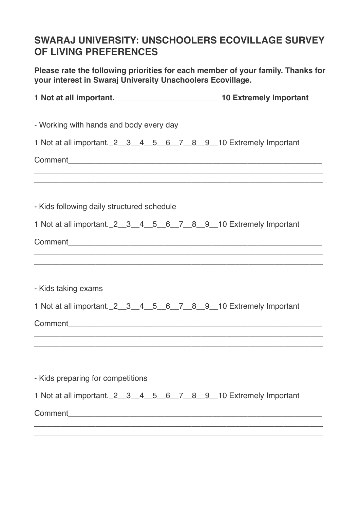## **SWARAJ UNIVERSITY: UNSCHOOLERS ECOVILLAGE SURVEY OF LIVING PREFERENCES**

**Please rate the following priorities for each member of your family. Thanks for your interest in Swaraj University Unschoolers Ecovillage.**

| - Working with hands and body every day                                                                                                                              |  |
|----------------------------------------------------------------------------------------------------------------------------------------------------------------------|--|
| 1 Not at all important. 2_3_4_5_6_7_8_9_10 Extremely Important                                                                                                       |  |
|                                                                                                                                                                      |  |
| ,我们也不能在这里的时候,我们也不能会在这里,我们也不能会在这里,我们也不能会在这里的时候,我们也不能会在这里的时候,我们也不能会在这里的时候,我们也不能会在这<br>- Kids following daily structured schedule                                       |  |
| 1 Not at all important. 2_3_4_5_6_7_8_9_10 Extremely Important                                                                                                       |  |
|                                                                                                                                                                      |  |
| ,我们也不能会在这里,我们的人们就会在这里,我们的人们就会在这里,我们的人们就会在这里,我们的人们就会在这里,我们的人们就会在这里,我们的人们就会在这里,我们的<br>,我们也不会有什么。""我们的人,我们也不会有什么?""我们的人,我们也不会有什么?""我们的人,我们也不会有什么?""我们的人,我们也不会有什么?""我们的人 |  |
| - Kids taking exams                                                                                                                                                  |  |
| 1 Not at all important. 2 _3 _4 _5 _6 _7 _8 _9 _10 Extremely Important                                                                                               |  |
|                                                                                                                                                                      |  |
|                                                                                                                                                                      |  |
|                                                                                                                                                                      |  |
| - Kids preparing for competitions                                                                                                                                    |  |
| 1 Not at all important. 2_3_4_5_6_7_8_9_10 Extremely Important                                                                                                       |  |
|                                                                                                                                                                      |  |
|                                                                                                                                                                      |  |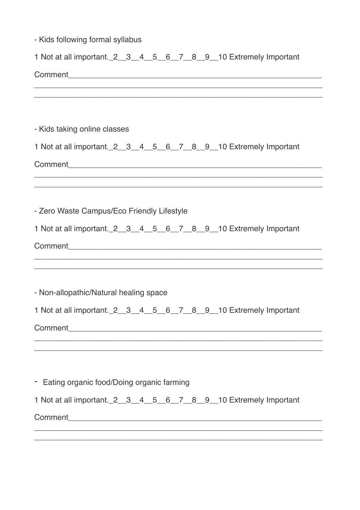| - Kids following formal syllabus                                                                                                                                                     |
|--------------------------------------------------------------------------------------------------------------------------------------------------------------------------------------|
| 1 Not at all important. 2 _3 _4 _5 _6 _7 _8 _9 _10 Extremely Important                                                                                                               |
|                                                                                                                                                                                      |
|                                                                                                                                                                                      |
| - Kids taking online classes                                                                                                                                                         |
| 1 Not at all important. 2 _3 _4 _5 _6 _7 _8 _9 _10 Extremely Important                                                                                                               |
|                                                                                                                                                                                      |
| - Zero Waste Campus/Eco Friendly Lifestyle                                                                                                                                           |
| 1 Not at all important. 2_3_4_5_6_7_8_9_10 Extremely Important                                                                                                                       |
| <u> 1990 - Johann Stoff, amerikansk politiker (d. 1980)</u><br><u> 1989 - Johann Stoff, deutscher Stoff, der Stoff, der Stoff, der Stoff, der Stoff, der Stoff, der Stoff, der S</u> |
| - Non-allopathic/Natural healing space                                                                                                                                               |
| 1 Not at all important. 2_3_4_5_6_7_8_9_10 Extremely Important                                                                                                                       |
|                                                                                                                                                                                      |
|                                                                                                                                                                                      |
| - Eating organic food/Doing organic farming                                                                                                                                          |
| 1 Not at all important. 2_3_4_5_6_7_8_9_10 Extremely Important                                                                                                                       |
| ,我们也不能在这里的时候,我们也不能会在这里,我们也不能会在这里,我们也不能会在这里的时候,我们也不能会在这里的时候,我们也不能会在这里的时候,我们也不能会在这里                                                                                                    |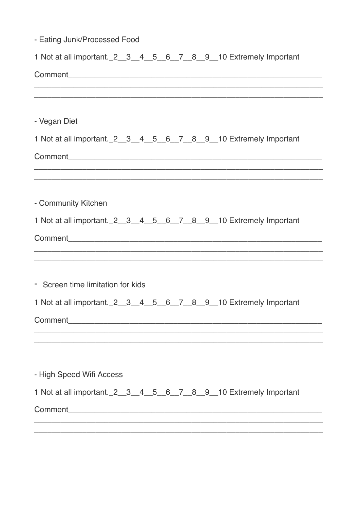| - Eating Junk/Processed Food      |  |  |  |  |                                                                                                                        |
|-----------------------------------|--|--|--|--|------------------------------------------------------------------------------------------------------------------------|
|                                   |  |  |  |  | 1 Not at all important. 2_3_4_5_6_7_8_9_10 Extremely Important                                                         |
|                                   |  |  |  |  |                                                                                                                        |
|                                   |  |  |  |  |                                                                                                                        |
| - Vegan Diet                      |  |  |  |  |                                                                                                                        |
|                                   |  |  |  |  | 1 Not at all important. 2_3_4_5_6_7_8_9_10 Extremely Important                                                         |
|                                   |  |  |  |  | <u> 1989 - Johann Johann Harry Harry Harry Harry Harry Harry Harry Harry Harry Harry Harry Harry Harry Harry Harry</u> |
| - Community Kitchen               |  |  |  |  |                                                                                                                        |
|                                   |  |  |  |  | 1 Not at all important. 2_3_4_5_6_7_8_9_10 Extremely Important                                                         |
|                                   |  |  |  |  |                                                                                                                        |
| - Screen time limitation for kids |  |  |  |  |                                                                                                                        |
|                                   |  |  |  |  | 1 Not at all important. 2 _3 _4 _5 _6 _7 _8 _9 _10 Extremely Important                                                 |
|                                   |  |  |  |  |                                                                                                                        |
| - High Speed Wifi Access          |  |  |  |  |                                                                                                                        |
|                                   |  |  |  |  | 1 Not at all important. 2 _3 _4 _5 _6 _7 _8 _9 _10 Extremely Important                                                 |
|                                   |  |  |  |  |                                                                                                                        |
|                                   |  |  |  |  |                                                                                                                        |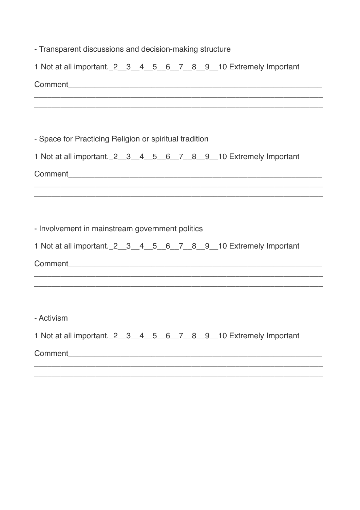| - Transparent discussions and decision-making structure |  |  |  |  |                                                                                                                                           |
|---------------------------------------------------------|--|--|--|--|-------------------------------------------------------------------------------------------------------------------------------------------|
|                                                         |  |  |  |  | 1 Not at all important. 2_3_4_5_6_7_8_9_10 Extremely Important                                                                            |
|                                                         |  |  |  |  | ,我们也不能在这里的时候,我们也不能在这里的时候,我们也不能会不能会不能会不能会不能会不能会不能会不能会。<br>第2012章 我们的时候,我们的时候,我们的时候,我们的时候,我们的时候,我们的时候,我们的时候,我们的时候,我们的时候,我们的时候,我们的时候,我们的时候,我 |
| - Space for Practicing Religion or spiritual tradition  |  |  |  |  |                                                                                                                                           |
|                                                         |  |  |  |  | 1 Not at all important. 2_3_4_5_6_7_8_9_10 Extremely Important                                                                            |
|                                                         |  |  |  |  |                                                                                                                                           |
| - Involvement in mainstream government politics         |  |  |  |  | 1 Not at all important. 2_3_4_5_6_7_8_9_10 Extremely Important                                                                            |
|                                                         |  |  |  |  |                                                                                                                                           |
| - Activism                                              |  |  |  |  | 1 Not at all important. 2_3_4_5_6_7_8_9_10 Extremely Important                                                                            |
|                                                         |  |  |  |  |                                                                                                                                           |